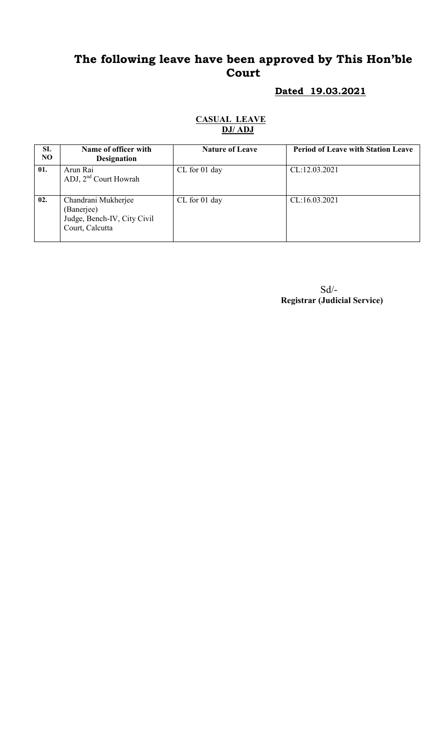# The following leave have been approved by This Hon'ble Court

# Dated 19.03.2021

#### CASUAL LEAVE DJ/ ADJ

| SL<br>N <sub>O</sub> | Name of officer with<br><b>Designation</b>                                          | <b>Nature of Leave</b> | <b>Period of Leave with Station Leave</b> |
|----------------------|-------------------------------------------------------------------------------------|------------------------|-------------------------------------------|
| 01.                  | Arun Rai<br>ADJ, $2nd$ Court Howrah                                                 | CL for 01 day          | CL:12.03.2021                             |
| 02.                  | Chandrani Mukherjee<br>(Banerjee)<br>Judge, Bench-IV, City Civil<br>Court, Calcutta | CL for 01 day          | CL:16.03.2021                             |

 Sd/- Registrar (Judicial Service)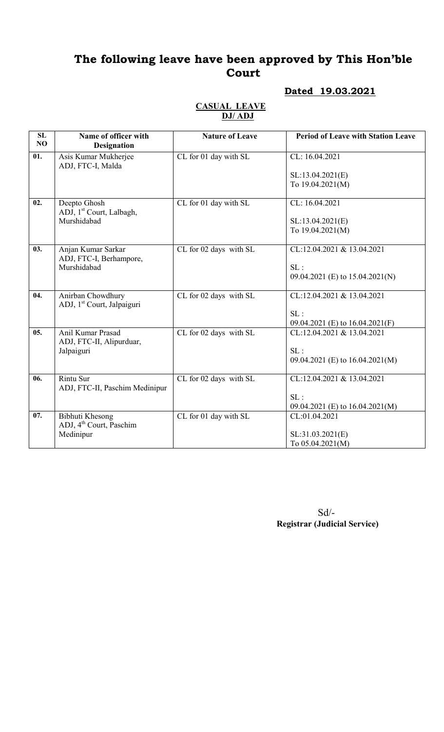# The following leave have been approved by This Hon'ble Court

## Dated 19.03.2021

#### CASUAL LEAVE DJ/ ADJ

| SL<br>NO | Name of officer with<br><b>Designation</b>           | <b>Nature of Leave</b> | <b>Period of Leave with Station Leave</b> |
|----------|------------------------------------------------------|------------------------|-------------------------------------------|
| 01.      | Asis Kumar Mukherjee<br>ADJ, FTC-I, Malda            | CL for 01 day with SL  | CL: 16.04.2021                            |
|          |                                                      |                        | SL:13.04.2021(E)                          |
|          |                                                      |                        | To 19.04.2021(M)                          |
| 02.      | Deepto Ghosh<br>ADJ, 1 <sup>st</sup> Court, Lalbagh, | CL for 01 day with SL  | CL: 16.04.2021                            |
|          | Murshidabad                                          |                        | SL:13.04.2021(E)                          |
|          |                                                      |                        | To 19.04.2021(M)                          |
| 03.      | Anjan Kumar Sarkar<br>ADJ, FTC-I, Berhampore,        | CL for 02 days with SL | CL:12.04.2021 & 13.04.2021                |
|          | Murshidabad                                          |                        | SL:                                       |
|          |                                                      |                        | 09.04.2021 (E) to 15.04.2021(N)           |
| 04.      | Anirban Chowdhury                                    | CL for 02 days with SL | CL:12.04.2021 & 13.04.2021                |
|          | ADJ, 1 <sup>st</sup> Court, Jalpaiguri               |                        | SL:                                       |
|          |                                                      |                        | 09.04.2021 (E) to 16.04.2021(F)           |
| 05.      | Anil Kumar Prasad                                    | CL for 02 days with SL | CL:12.04.2021 & 13.04.2021                |
|          | ADJ, FTC-II, Alipurduar,<br>Jalpaiguri               |                        | SL:                                       |
|          |                                                      |                        | 09.04.2021 (E) to 16.04.2021(M)           |
|          |                                                      |                        |                                           |
| 06.      | <b>Rintu Sur</b><br>ADJ, FTC-II, Paschim Medinipur   | CL for 02 days with SL | CL:12.04.2021 & 13.04.2021                |
|          |                                                      |                        | SL:                                       |
|          |                                                      |                        | 09.04.2021 (E) to 16.04.2021(M)           |
| 07.      | Bibhuti Khesong                                      | CL for 01 day with SL  | CL:01.04.2021                             |
|          | ADJ, 4 <sup>th</sup> Court, Paschim<br>Medinipur     |                        | SL:31.03.2021(E)                          |
|          |                                                      |                        | To $05.04.2021(M)$                        |

 Sd/- Registrar (Judicial Service)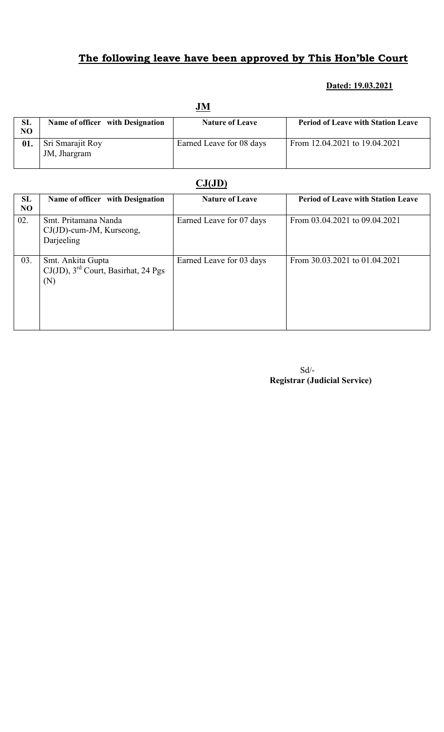# The following leave have been approved by This Hon'ble Court

#### Dated: 19.03.2021

|    | <u>JM</u>                        |                          |                                           |  |
|----|----------------------------------|--------------------------|-------------------------------------------|--|
| SL | Name of officer with Designation | <b>Nature of Leave</b>   | <b>Period of Leave with Station Leave</b> |  |
| NO |                                  |                          |                                           |  |
|    | Sri Smarajit Roy                 | Earned Leave for 08 days | From 12.04.2021 to 19.04.2021             |  |
|    | JM, Jhargram                     |                          |                                           |  |
|    |                                  |                          |                                           |  |

### $CJ(JD)$

| SL<br>N <sub>O</sub> | Name of officer with Designation                                               | <b>Nature of Leave</b>   | <b>Period of Leave with Station Leave</b> |
|----------------------|--------------------------------------------------------------------------------|--------------------------|-------------------------------------------|
| 02.                  | Smt. Pritamana Nanda<br>$CJ(JD)$ -cum-JM, Kurseong,<br>Darjeeling              | Earned Leave for 07 days | From 03.04.2021 to 09.04.2021             |
| 03.                  | Smt. Ankita Gupta<br>$CJ(JD)$ , 3 <sup>rd</sup> Court, Basirhat, 24 Pgs<br>(N) | Earned Leave for 03 days | From 30.03.2021 to 01.04.2021             |

Sd/- Registrar (Judicial Service)